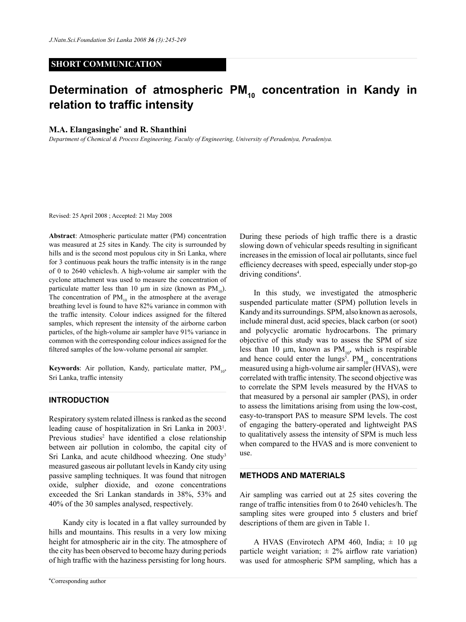## **SHORT COMMUNICATION**

# Determination of atmospheric PM<sub>10</sub> concentration in Kandy in **relation to traffic intensity**

## **M.A. Elangasinghe\* and R. Shanthini**

*Department of Chemical & Process Engineering, Faculty of Engineering, University of Peradeniya, Peradeniya.*

Revised: 25 April 2008 ; Accepted: 21 May 2008

**Abstract**: Atmospheric particulate matter (PM) concentration was measured at 25 sites in Kandy. The city is surrounded by hills and is the second most populous city in Sri Lanka, where for 3 continuous peak hours the traffic intensity is in the range of 0 to 2640 vehicles/h. A high-volume air sampler with the cyclone attachment was used to measure the concentration of particulate matter less than 10  $\mu$ m in size (known as PM<sub>10</sub>). The concentration of  $PM_{10}$  in the atmosphere at the average breathing level is found to have 82% variance in common with the traffic intensity. Colour indices assigned for the filtered samples, which represent the intensity of the airborne carbon particles, of the high-volume air sampler have 91% variance in common with the corresponding colour indices assigned for the filtered samples of the low-volume personal air sampler.

**Keywords**: Air pollution, Kandy, particulate matter, PM<sub>102</sub> Sri Lanka, traffic intensity

### **Introduction**

Respiratory system related illness is ranked as the second leading cause of hospitalization in Sri Lanka in 20031 . Previous studies<sup>2</sup> have identified a close relationship between air pollution in colombo, the capital city of Sri Lanka, and acute childhood wheezing. One study<sup>3</sup> measured gaseous air pollutant levels in Kandy city using passive sampling techniques. It was found that nitrogen oxide, sulpher dioxide, and ozone concentrations exceeded the Sri Lankan standards in 38%, 53% and 40% of the 30 samples analysed, respectively.

Kandy city is located in a flat valley surrounded by hills and mountains. This results in a very low mixing height for atmospheric air in the city. The atmosphere of the city has been observed to become hazy during periods of high traffic with the haziness persisting for long hours.

During these periods of high traffic there is a drastic slowing down of vehicular speeds resulting in significant increases in the emission of local air pollutants, since fuel efficiency decreases with speed, especially under stop-go driving conditions<sup>4</sup>.

In this study, we investigated the atmospheric suspended particulate matter (SPM) pollution levels in Kandy and its surroundings. SPM, also known as aerosols, include mineral dust, acid species, black carbon (or soot) and polycyclic aromatic hydrocarbons. The primary objective of this study was to assess the SPM of size less than 10  $\mu$ m, known as PM<sub>10</sub>, which is respirable and hence could enter the lungs<sup>5</sup>.  $PM_{10}$  concentrations measured using a high-volume air sampler (HVAS), were correlated with traffic intensity. The second objective was to correlate the SPM levels measured by the HVAS to that measured by a personal air sampler (PAS), in order to assess the limitations arising from using the low-cost, easy-to-transport PAS to measure SPM levels. The cost of engaging the battery-operated and lightweight PAS to qualitatively assess the intensity of SPM is much less when compared to the HVAS and is more convenient to use.

#### **METHODS AND MATERIALS**

Air sampling was carried out at 25 sites covering the range of traffic intensities from 0 to 2640 vehicles/h. The sampling sites were grouped into 5 clusters and brief descriptions of them are given in Table 1.

A HVAS (Envirotech APM 460, India;  $\pm$  10 µg particle weight variation;  $\pm 2\%$  airflow rate variation) was used for atmospheric SPM sampling, which has a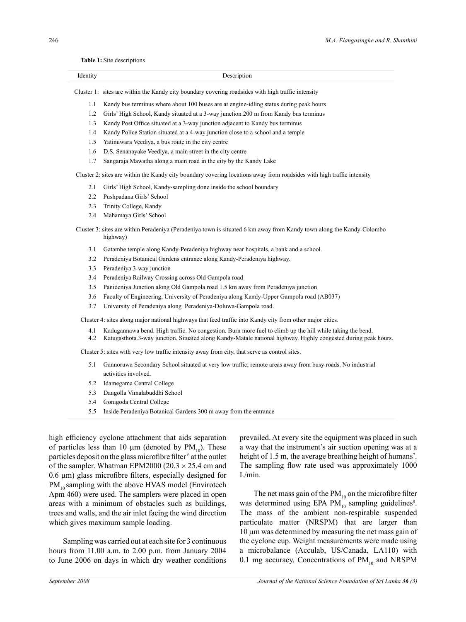#### **Table 1:** Site descriptions

| $\mathbf{v}$<br>. .<br>. |  |
|--------------------------|--|
|                          |  |

Cluster 1: sites are within the Kandy city boundary covering roadsides with high traffic intensity

- 1.1 Kandy bus terminus where about 100 buses are at engine-idling status during peak hours
- 1.2 Girls' High School, Kandy situated at a 3-way junction 200 m from Kandy bus terminus
- 1.3 Kandy Post Office situated at a 3-way junction adjacent to Kandy bus terminus
- 1.4 Kandy Police Station situated at a 4-way junction close to a school and a temple
- 1.5 Yatinuwara Veediya, a bus route in the city centre
- 1.6 D.S. Senanayake Veediya, a main street in the city centre
- 1.7 Sangaraja Mawatha along a main road in the city by the Kandy Lake

Cluster 2: sites are within the Kandy city boundary covering locations away from roadsides with high traffic intensity

- 2.1 Girls' High School, Kandy-sampling done inside the school boundary
- 2.2 Pushpadana Girls' School
- 2.3 Trinity College, Kandy
- 2.4 Mahamaya Girls' School

Cluster 3: sites are within Peradeniya (Peradeniya town is situated 6 km away from Kandy town along the Kandy-Colombo highway)

- 3.1 Gatambe temple along Kandy-Peradeniya highway near hospitals, a bank and a school.
- 3.2 Peradeniya Botanical Gardens entrance along Kandy-Peradeniya highway.
- 3.3 Peradeniya 3-way junction
- 3.4 Peradeniya Railway Crossing across Old Gampola road
- 3.5 Panideniya Junction along Old Gampola road 1.5 km away from Peradeniya junction
- 3.6 Faculty of Engineering, University of Peradeniya along Kandy-Upper Gampola road (AB037)
- 3.7 University of Peradeniya along Peradeniya-Doluwa-Gampola road.

Cluster 4: sites along major national highways that feed traffic into Kandy city from other major cities.

- 4.1 Kadugannawa bend. High traffic. No congestion. Burn more fuel to climb up the hill while taking the bend.
- 4.2 Katugasthota.3-way junction. Situated along Kandy-Matale national highway. Highly congested during peak hours.

Cluster 5: sites with very low traffic intensity away from city, that serve as control sites.

- 5.1 Gannoruwa Secondary School situated at very low traffic, remote areas away from busy roads. No industrial activities involved.
- 5.2 Idamegama Central College
- 5.3 Dangolla Vimalabuddhi School
- 5.4 Gonigoda Central College
- 5.5 Inside Peradeniya Botanical Gardens 300 m away from the entrance

high efficiency cyclone attachment that aids separation of particles less than 10  $\mu$ m (denoted by PM<sub>10</sub>). These particles deposit on the glass microfibre filter <sup>6</sup> at the outlet of the sampler. Whatman EPM2000 (20.3  $\times$  25.4 cm and 0.6 µm) glass microfibre filters, especially designed for  $PM_{10}$  sampling with the above HVAS model (Envirotech Apm 460) were used. The samplers were placed in open areas with a minimum of obstacles such as buildings, trees and walls, and the air inlet facing the wind direction which gives maximum sample loading.

Sampling was carried out at each site for 3 continuous hours from 11.00 a.m. to 2.00 p.m. from January 2004 to June 2006 on days in which dry weather conditions

prevailed. At every site the equipment was placed in such a way that the instrument's air suction opening was at a height of 1.5 m, the average breathing height of humans<sup>7</sup>. The sampling flow rate used was approximately 1000 L/min.

The net mass gain of the  $PM_{10}$  on the microfibre filter was determined using EPA  $PM_{10}$  sampling guidelines<sup>8</sup>. The mass of the ambient non-respirable suspended particulate matter (NRSPM) that are larger than 10 µm was determined by measuring the net mass gain of the cyclone cup. Weight measurements were made using a microbalance (Acculab, US/Canada, LA110) with 0.1 mg accuracy. Concentrations of  $PM_{10}$  and NRSPM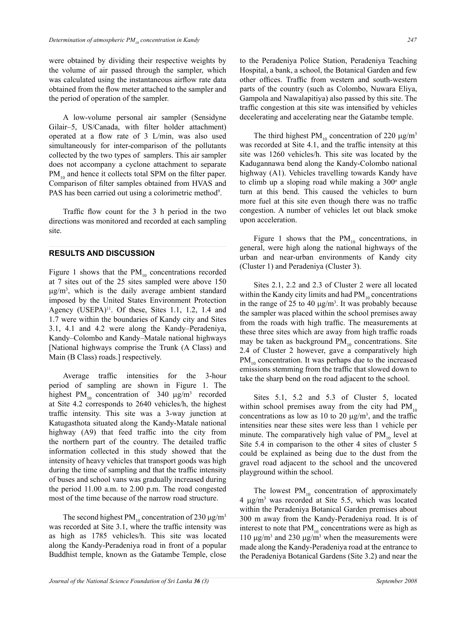were obtained by dividing their respective weights by the volume of air passed through the sampler, which was calculated using the instantaneous airflow rate data obtained from the flow meter attached to the sampler and the period of operation of the sampler.

A low-volume personal air sampler (Sensidyne Gilair–5, US/Canada, with filter holder attachment) operated at a flow rate of 3 L/min, was also used simultaneously for inter-comparison of the pollutants collected by the two types of samplers. This air sampler does not accompany a cyclone attachment to separate  $PM_{10}$  and hence it collects total SPM on the filter paper. Comparison of filter samples obtained from HVAS and PAS has been carried out using a colorimetric method<sup>9</sup>.

Traffic flow count for the 3 h period in the two directions was monitored and recorded at each sampling site.

## **Results and discussion**

Figure 1 shows that the  $PM_{10}$  concentrations recorded at 7 sites out of the 25 sites sampled were above 150  $\mu$ g/m<sup>3</sup>, which is the daily average ambient standard imposed by the United States Environment Protection Agency (USEPA) $^{11}$ . Of these, Sites 1.1, 1.2, 1.4 and 1.7 were within the boundaries of Kandy city and Sites 3.1, 4.1 and 4.2 were along the Kandy–Peradeniya, Kandy–Colombo and Kandy–Matale national highways [National highways comprise the Trunk (A Class) and Main (B Class) roads.] respectively.

Average traffic intensities for the 3-hour period of sampling are shown in Figure 1. The highest PM<sub>10</sub> concentration of 340  $\mu$ g/m<sup>3</sup> recorded at Site 4.2 corresponds to 2640 vehicles/h, the highest traffic intensity. This site was a 3-way junction at Katugasthota situated along the Kandy-Matale national highway (A9) that feed traffic into the city from the northern part of the country. The detailed traffic information collected in this study showed that the intensity of heavy vehicles that transport goods was high during the time of sampling and that the traffic intensity of buses and school vans was gradually increased during the period 11.00 a.m. to 2.00 p.m. The road congested most of the time because of the narrow road structure.

The second highest PM<sub>10</sub> concentration of 230  $\mu$ g/m<sup>3</sup> was recorded at Site 3.1, where the traffic intensity was as high as 1785 vehicles/h. This site was located along the Kandy-Peradeniya road in front of a popular Buddhist temple, known as the Gatambe Temple, close to the Peradeniya Police Station, Peradeniya Teaching Hospital, a bank, a school, the Botanical Garden and few other offices. Traffic from western and south-western parts of the country (such as Colombo, Nuwara Eliya, Gampola and Nawalapitiya) also passed by this site. The traffic congestion at this site was intensified by vehicles decelerating and accelerating near the Gatambe temple.

The third highest  $PM_{10}$  concentration of 220  $\mu$ g/m<sup>3</sup> was recorded at Site 4.1, and the traffic intensity at this site was 1260 vehicles/h. This site was located by the Kadugannawa bend along the Kandy-Colombo national highway (A1). Vehicles travelling towards Kandy have to climb up a sloping road while making a  $300^\circ$  angle turn at this bend. This caused the vehicles to burn more fuel at this site even though there was no traffic congestion. A number of vehicles let out black smoke upon acceleration.

Figure 1 shows that the  $PM_{10}$  concentrations, in general, were high along the national highways of the urban and near-urban environments of Kandy city (Cluster 1) and Peradeniya (Cluster 3).

Sites 2.1, 2.2 and 2.3 of Cluster 2 were all located within the Kandy city limits and had  $PM_{10}$  concentrations in the range of 25 to 40  $\mu$ g/m<sup>3</sup>. It was probably because the sampler was placed within the school premises away from the roads with high traffic. The measurements at these three sites which are away from high traffic roads may be taken as background  $PM_{10}$  concentrations. Site 2.4 of Cluster 2 however, gave a comparatively high  $PM_{10}$  concentration. It was perhaps due to the increased emissions stemming from the traffic that slowed down to take the sharp bend on the road adjacent to the school.

Sites 5.1, 5.2 and 5.3 of Cluster 5, located within school premises away from the city had  $PM_{10}$ concentrations as low as 10 to 20  $\mu$ g/m<sup>3</sup>, and the traffic intensities near these sites were less than 1 vehicle per minute. The comparatively high value of  $PM_{10}$  level at Site 5.4 in comparison to the other 4 sites of cluster 5 could be explained as being due to the dust from the gravel road adjacent to the school and the uncovered playground within the school.

The lowest  $PM_{10}$  concentration of approximately 4 µg/m3 was recorded at Site 5.5, which was located within the Peradeniya Botanical Garden premises about 300 m away from the Kandy-Peradeniya road. It is of interest to note that  $PM_{10}$  concentrations were as high as 110  $\mu$ g/m<sup>3</sup> and 230  $\mu$ g/m<sup>3</sup> when the measurements were made along the Kandy-Peradeniya road at the entrance to the Peradeniya Botanical Gardens (Site 3.2) and near the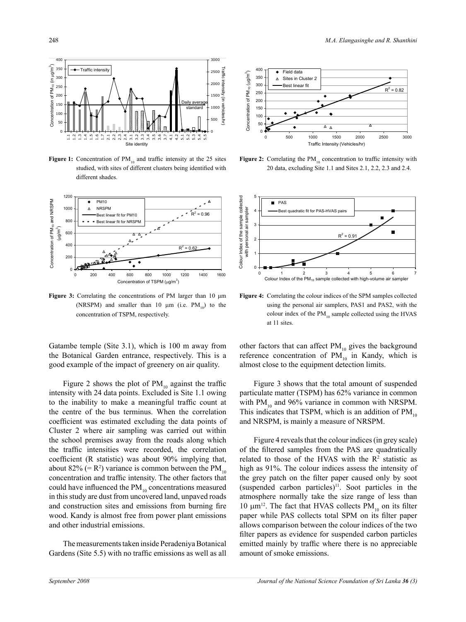

**Figure 1:** Concentration of  $PM_{10}$  and traffic intensity at the 25 sites studied, with sites of different clusters being identified with different shades.



**Figure 3:** Correlating the concentrations of PM larger than 10 μm (NRSPM) and smaller than 10  $\mu$ m (i.e. PM<sub>10</sub>) to the concentration of TSPM, respectively.

Gatambe temple (Site  $3.1$ ), which is  $100$  m away from the Botanical Garden entrance, respectively. This is a good example of the impact of greenery on air quality. Gold<br>Book<br>Index ut<br>a<br>0

Figure 2 shows the plot of  $PM_{10}$  against the traffic intensity with 24 data points. Excluded is Site 1.1 owing to the inability to make a meaningful traffic count at the centre of the bus terminus. When the correlation coefficient was estimated excluding the data points of Cluster 2 where air sampling was carried out within the school premises away from the roads along which the traffic intensities were recorded, the correlation coefficient (R statistic) was about 90% implying that, about 82% (=  $R^2$ ) variance is common between the  $PM_{10}$ concentration and traffic intensity. The other factors that could have influenced the  $PM_{10}$  concentrations measured in this study are dust from uncovered land, unpaved roads and construction sites and emissions from burning fire wood. Kandy is almost free from power plant emissions and other industrial emissions.

The measurements taken inside Peradeniya Botanical Gardens (Site 5.5) with no traffic emissions as well as all



**Figure 2:** Correlating the  $PM_{10}$  concentration to traffic intensity with 20 data, excluding Site 1.1 and Sites 2.1, 2.2, 2.3 and 2.4.



**Figure 4:** Correlating the colour indices of the SPM samples collected using the personal air samplers, PAS1 and PAS2, with the colour index of the  $PM_{10}$  sample collected using the HVAS at 11 sites.

other factors that can affect  $PM_{10}$  gives the background reference concentration of  $PM_{10}$  in Kandy, which is almost close to the equipment detection limits.

Figure 3 shows that the total amount of suspended particulate matter (TSPM) has 62% variance in common with  $PM_{10}$  and 96% variance in common with NRSPM. This indicates that TSPM, which is an addition of  $PM_{10}$ and NRSPM, is mainly a measure of NRSPM.

Figure 4 reveals that the colour indices (in grey scale) of the filtered samples from the PAS are quadratically related to those of the HVAS with the  $R<sup>2</sup>$  statistic as high as 91%. The colour indices assess the intensity of the grey patch on the filter paper caused only by soot (suspended carbon particles) $11$ . Soot particles in the atmosphere normally take the size range of less than 10  $\mu$ m<sup>12</sup>. The fact that HVAS collects PM<sub>10</sub> on its filter paper while PAS collects total SPM on its filter paper allows comparison between the colour indices of the two filter papers as evidence for suspended carbon particles emitted mainly by traffic where there is no appreciable amount of smoke emissions.